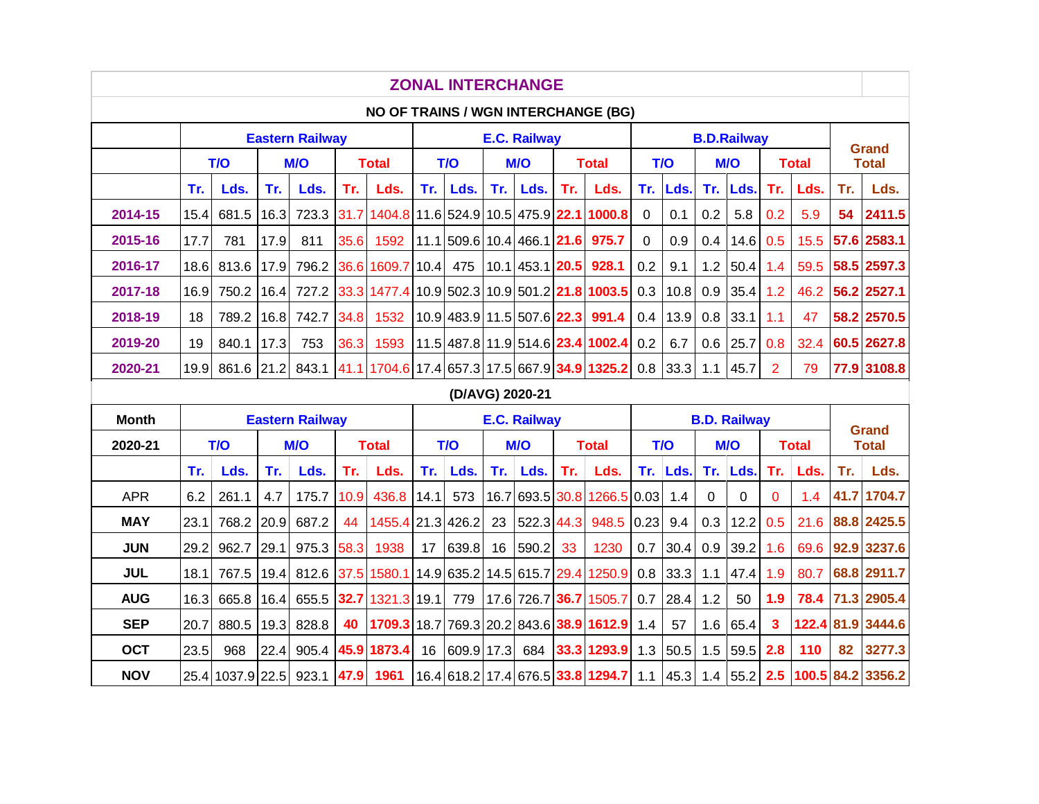| <b>ZONAL INTERCHANGE</b>                                         |                                                                     |            |      |                        |      |                                   |     |                                   |            |                     |              |                                              |              |      |             |                     |                         |              |              |                              |
|------------------------------------------------------------------|---------------------------------------------------------------------|------------|------|------------------------|------|-----------------------------------|-----|-----------------------------------|------------|---------------------|--------------|----------------------------------------------|--------------|------|-------------|---------------------|-------------------------|--------------|--------------|------------------------------|
|                                                                  | NO OF TRAINS / WGN INTERCHANGE (BG)                                 |            |      |                        |      |                                   |     |                                   |            |                     |              |                                              |              |      |             |                     |                         |              |              |                              |
|                                                                  | <b>E.C. Railway</b><br><b>B.D.Railway</b><br><b>Eastern Railway</b> |            |      |                        |      |                                   |     |                                   |            |                     |              |                                              |              |      |             |                     | <b>Grand</b>            |              |              |                              |
|                                                                  | T/O<br><b>M/O</b>                                                   |            |      |                        |      | <b>Total</b>                      | T/O |                                   | <b>M/O</b> |                     | <b>Total</b> |                                              | T/O          |      | <b>M/O</b>  |                     | <b>Total</b>            |              | <b>Total</b> |                              |
|                                                                  | Tr.                                                                 | Lds.       | Tr.  | Lds.                   | Tr.  | Lds.                              | Tr. | Lds.                              | Tr.        | Lds.                | Tr.          | Lds.                                         | Tr.          | Lds. | Tr.         | Lds.                | Tr.                     | Lds.         | Tr.          | Lds.                         |
| 2014-15                                                          | 15.4                                                                | 681.5      | 16.3 | 723.3                  | 31.7 | 1404.8 11.6 524.9 10.5 475.9 22.1 |     |                                   |            |                     |              | 1000.8                                       | $\mathbf{0}$ | 0.1  | 0.2         | 5.8                 | 0.2                     | 5.9          | 54           | 2411.5                       |
| 2015-16                                                          | 17.7                                                                | 781        | 17.9 | 811                    | 35.6 | 1592                              |     | 11.1 509.6 10.4 466.1 <b>21.6</b> |            |                     |              | 975.7                                        | $\mathbf 0$  | 0.9  | 0.4         | 14.6                | 0.5                     | 15.5         |              | 57.6 2583.1                  |
| 2016-17                                                          | 18.6                                                                | 813.6      | 17.9 | 796.2                  | 36.6 | 1609.7 10.4                       |     | 475                               |            | $10.1$ 453.1 20.5   |              | 928.1                                        | 0.2          | 9.1  | 1.2         | 50.4                | 1.4                     | 59.5         |              | 58.5 2597.3                  |
| 2017-18                                                          | 16.9                                                                | 750.2      | 16.4 | 727.2                  | 33.3 |                                   |     |                                   |            |                     |              | 1477.4 10.9 502.3 10.9 501.2 21.8 1003.5     | 0.3          | 10.8 | 0.9         | 35.4                | 1.2                     | 46.2         |              | 56.2 2527.1                  |
| 2018-19                                                          | 18                                                                  | 789.2      | 16.8 | 742.7                  | 34.8 | 1532                              |     | 10.9 483.9 11.5 507.6 22.3        |            |                     |              | 991.4                                        | 0.4          | 13.9 | 0.8         | 33.1                | 1.1                     | 47           |              | 58.2 2570.5                  |
| 2019-20                                                          | 19                                                                  | 840.1      | 17.3 | 753                    | 36.3 | 1593                              |     |                                   |            |                     |              | 11.5 487.8 11.9 514.6 23.4 1002.4            | 0.2          | 6.7  | 0.6         | 25.7                | 0.8                     | 32.4         |              | 60.5 2627.8                  |
| 2020-21                                                          | 19.9                                                                | 861.6 21.2 |      | 843.1                  |      |                                   |     |                                   |            |                     |              |                                              | 0.8          | 33.3 | 1.1         | 45.7                | $\overline{2}$          | 79           |              | 77.9 3108.8                  |
| 41.1 1704.6 17.4 657.3 17.5 667.9 34.9 1325.2<br>(D/AVG) 2020-21 |                                                                     |            |      |                        |      |                                   |     |                                   |            |                     |              |                                              |              |      |             |                     |                         |              |              |                              |
|                                                                  |                                                                     |            |      |                        |      |                                   |     |                                   |            |                     |              |                                              |              |      |             |                     |                         |              |              |                              |
| <b>Month</b>                                                     |                                                                     |            |      | <b>Eastern Railway</b> |      |                                   |     |                                   |            | <b>E.C. Railway</b> |              |                                              |              |      |             | <b>B.D. Railway</b> |                         |              |              |                              |
| 2020-21                                                          |                                                                     | T/O        |      | <b>M/O</b>             |      | <b>Total</b>                      |     | T/O                               |            | <b>M/O</b>          |              | <b>Total</b>                                 |              | T/O  |             | M/O                 |                         | <b>Total</b> |              | <b>Grand</b><br><b>Total</b> |
|                                                                  | Tr.                                                                 | Lds.       | Tr.  | Lds.                   | Tr.  | Lds.                              | Tr. | Lds.                              | Tr.        | Lds.                | Tr.          | Lds.                                         | Tr.          | Lds. | Tr.         | Lds.                | Tr.                     | Lds.         | Tr.          | Lds.                         |
| <b>APR</b>                                                       | 6.2                                                                 | 261.1      | 4.7  | 175.7                  | 10.9 | 436.8 14.1                        |     | 573                               | 16.7       | 693.5 30.8          |              | 1266.5 0.03                                  |              | 1.4  | $\mathbf 0$ | 0                   | $\overline{0}$          | 1.4          | 41.7         | 1704.7                       |
| <b>MAY</b>                                                       | 23.1                                                                | 768.2      | 20.9 | 687.2                  | 44   | 1455.4 21.3 426.2                 |     |                                   | 23         | 522.3 44.3          |              | 948.5                                        | 0.23         | 9.4  | 0.3         | 12.2                | 0.5                     | 21.6         |              | 88.8 2425.5                  |
| <b>JUN</b>                                                       | 29.2                                                                | 962.7      | 29.1 | 975.3                  | 58.3 | 1938                              | 17  | 639.8                             | 16         | 590.2               | 33           | 1230                                         | 0.7          | 30.4 | 0.9         | 39.2                | 1.6                     |              |              | 69.6 92.9 3237.6             |
| <b>JUL</b>                                                       | 18.1                                                                | 767.5      | 19.4 | 812.6                  | 37.5 |                                   |     |                                   |            |                     |              | 1580.1 14.9 635.2 14.5 615.7 29.4 1250.9     | 0.8          | 33.3 | 1.1         | 47.4                | 1.9                     | 80.7         |              | 68.8 2911.7                  |
| <b>AUG</b>                                                       | 16.3                                                                | 665.8      | 16.4 | 655.5                  | 32.7 | 1321.3 19.1                       |     | 779                               |            | 17.6 726.7 36.7     |              | 1505.7                                       | 0.7          | 28.4 | 1.2         | 50                  | 1.9                     |              |              | 78.4 71.3 2905.4             |
| <b>SEP</b>                                                       | 20.7                                                                | 880.5      | 19.3 | 828.8                  | 40   |                                   |     |                                   |            |                     |              | 1709.3 18.7 769.3 20.2 843.6 38.9 1612.9 1.4 |              | 57   | 1.6         | 65.4                | $\overline{\mathbf{3}}$ |              |              | 122.4 81.9 3444.6            |
| <b>OCT</b>                                                       | 23.5                                                                | 968        | 22.4 | 905.4                  | 45.9 | 1873.4                            | 16  | 609.9 17.3                        |            | 684                 |              | 33.3 1293.9                                  | 1.3          | 50.5 | 1.5         | 59.5                | 2.8                     | 110          | 82           | 3277.3                       |